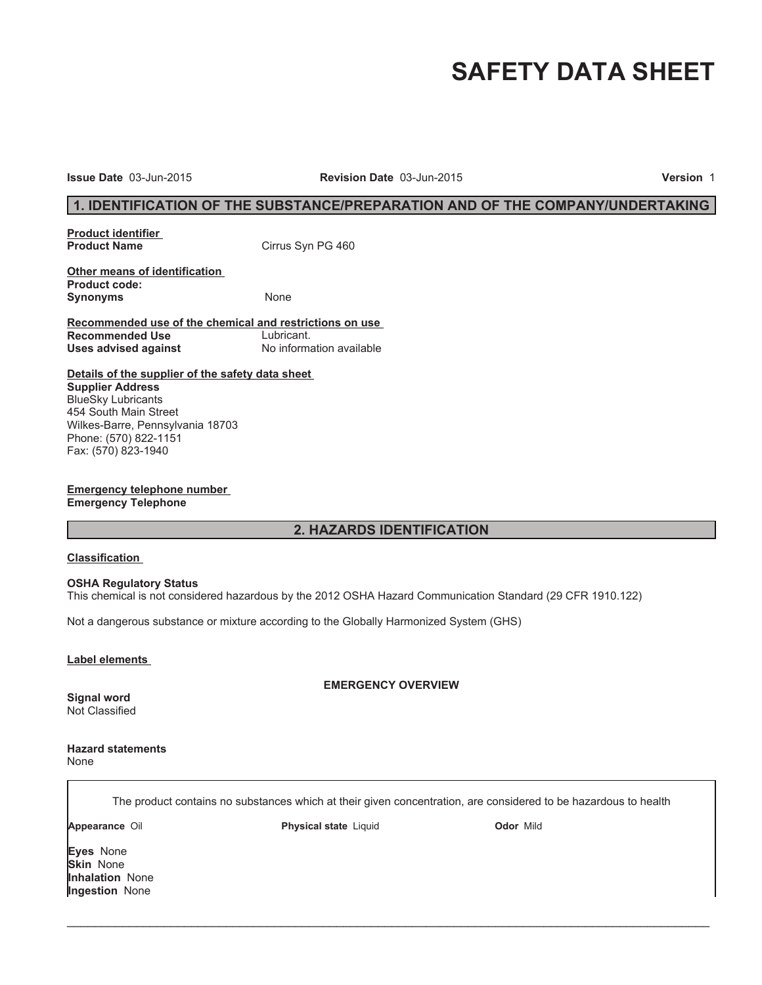# **SAFETY DATA SHEET**

**Issue Date** 03-Jun-2015 **Revision Date** 03-Jun-2015 **Version** 1

# **1. IDENTIFICATION OF THE SUBSTANCE/PREPARATION AND OF THE COMPANY/UNDERTAKING**

**Product identifier** 

**Cirrus Syn PG 460** 

**Other means of identification Product code:** Synonyms None

**Recommended use of the chemical and restrictions on use Recommended Use** Lubricant.<br> **Uses advised against** Mo information available **Uses advised against** 

**Details of the supplier of the safety data sheet Supplier Address** BlueSky Lubricants 454 South Main Street Wilkes-Barre, Pennsylvania 18703 Phone: (570) 822-1151 Fax: (570) 823-1940

**Emergency telephone number Emergency Telephone**

# **2. HAZARDS IDENTIFICATION**

#### **Classification**

#### **OSHA Regulatory Status**

This chemical is not considered hazardous by the 2012 OSHA Hazard Communication Standard (29 CFR 1910.122)

Not a dangerous substance or mixture according to the Globally Harmonized System (GHS)

#### **Label elements**

**EMERGENCY OVERVIEW**

Not Classified

**Signal word**

**Hazard statements** None

The product contains no substances which at their given concentration, are considered to be hazardous to health

 $\_$  ,  $\_$  ,  $\_$  ,  $\_$  ,  $\_$  ,  $\_$  ,  $\_$  ,  $\_$  ,  $\_$  ,  $\_$  ,  $\_$  ,  $\_$  ,  $\_$  ,  $\_$  ,  $\_$  ,  $\_$  ,  $\_$  ,  $\_$  ,  $\_$  ,  $\_$  ,  $\_$  ,  $\_$  ,  $\_$  ,  $\_$  ,  $\_$  ,  $\_$  ,  $\_$  ,  $\_$  ,  $\_$  ,  $\_$  ,  $\_$  ,  $\_$  ,  $\_$  ,  $\_$  ,  $\_$  ,  $\_$  ,  $\_$  ,

**Appearance** Oil **Physical state** Liquid **Odor** Mild

**Eyes** None **Skin** None **Inhalation** None **Ingestion** None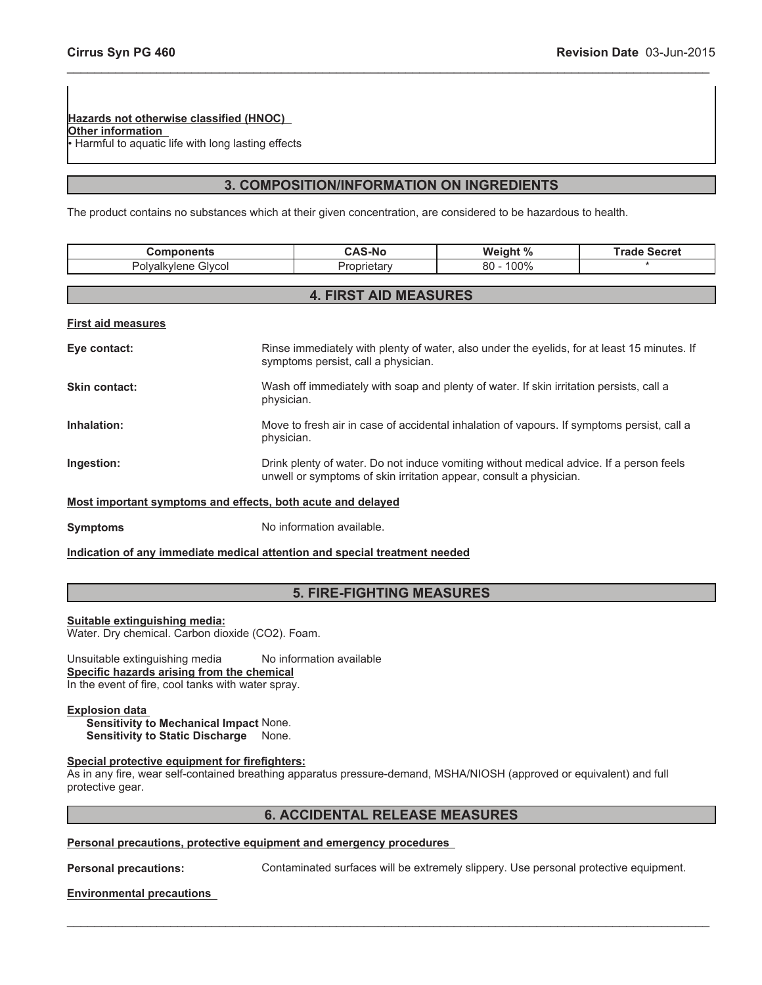**Hazards not otherwise classified (HNOC) Other information** . Harmful to aquatic life with long lasting effects

# **3. COMPOSITION/INFORMATION ON INGREDIENTS**

\_\_\_\_\_\_\_\_\_\_\_\_\_\_\_\_\_\_\_\_\_\_\_\_\_\_\_\_\_\_\_\_\_\_\_\_\_\_\_\_\_\_\_\_\_\_\_\_\_\_\_\_\_\_\_\_\_\_\_\_\_\_\_\_\_\_\_\_\_\_\_\_\_\_\_\_\_\_\_\_\_\_\_\_\_\_\_\_\_\_\_\_\_

The product contains no substances which at their given concentration, are considered to be hazardous to health.

| <b>Components</b>                                           |                                                                                                                                                               | <b>CAS-No</b>                       | Weight %                                                                                    | <b>Trade Secret</b> |
|-------------------------------------------------------------|---------------------------------------------------------------------------------------------------------------------------------------------------------------|-------------------------------------|---------------------------------------------------------------------------------------------|---------------------|
| Polyalkylene Glycol                                         |                                                                                                                                                               | Proprietary                         | $80 - 100\%$                                                                                |                     |
|                                                             |                                                                                                                                                               |                                     |                                                                                             |                     |
| <b>4. FIRST AID MEASURES</b>                                |                                                                                                                                                               |                                     |                                                                                             |                     |
| <b>First aid measures</b>                                   |                                                                                                                                                               |                                     |                                                                                             |                     |
| Eye contact:                                                |                                                                                                                                                               | symptoms persist, call a physician. | Rinse immediately with plenty of water, also under the eyelids, for at least 15 minutes. If |                     |
| Skin contact:                                               | physician.                                                                                                                                                    |                                     | Wash off immediately with soap and plenty of water. If skin irritation persists, call a     |                     |
| Inhalation:                                                 | physician.                                                                                                                                                    |                                     | Move to fresh air in case of accidental inhalation of vapours. If symptoms persist, call a  |                     |
| Ingestion:                                                  | Drink plenty of water. Do not induce vomiting without medical advice. If a person feels<br>unwell or symptoms of skin irritation appear, consult a physician. |                                     |                                                                                             |                     |
| Most important symptoms and effects, both acute and delayed |                                                                                                                                                               |                                     |                                                                                             |                     |

**Symptoms** No information available.

# **Indication of any immediate medical attention and special treatment needed**

# **5. FIRE-FIGHTING MEASURES**

**Suitable extinguishing media:** Water. Dry chemical. Carbon dioxide (CO2). Foam.

Unsuitable extinguishing media No information available **Specific hazards arising from the chemical** In the event of fire, cool tanks with water spray.

#### **Explosion data**

**Sensitivity to Mechanical Impact** None. **Sensitivity to Static Discharge** None.

# **Special protective equipment for firefighters:**

As in any fire, wear self-contained breathing apparatus pressure-demand, MSHA/NIOSH (approved or equivalent) and full protective gear.

# **6. ACCIDENTAL RELEASE MEASURES**

 $\_$  , and the contribution of the contribution of the contribution of the contribution of  $\mathcal{L}_\text{max}$ 

#### **Personal precautions, protective equipment and emergency procedures**

**Personal precautions:** Contaminated surfaces will be extremely slippery. Use personal protective equipment.

# **Environmental precautions**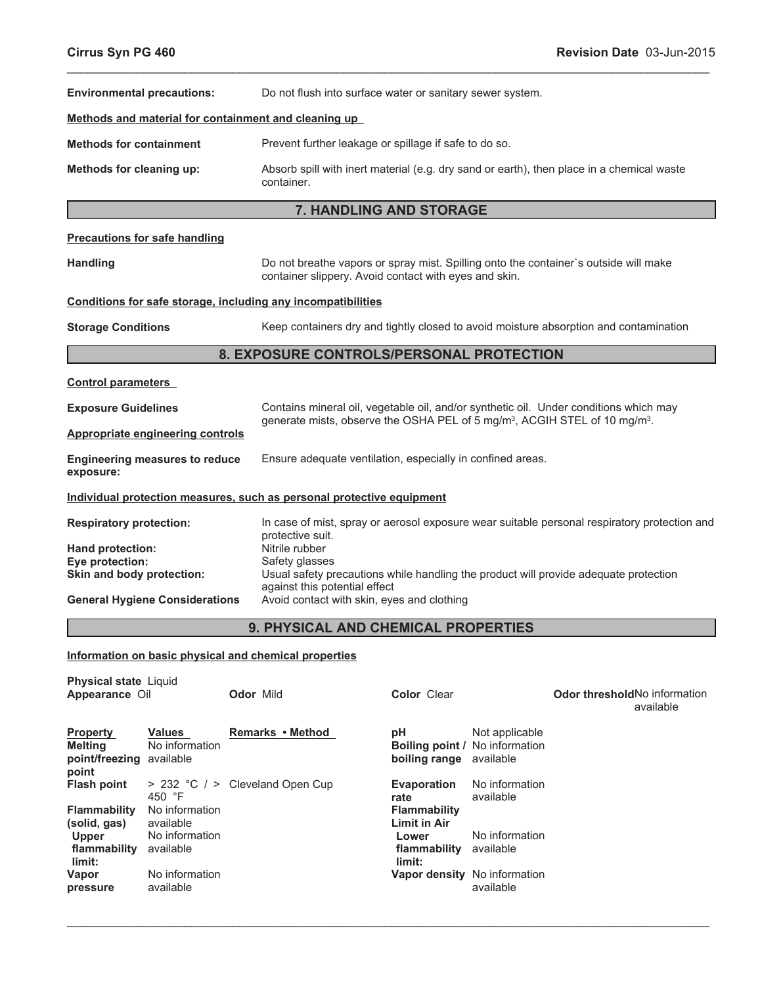| <b>Environmental precautions:</b>                                                                         |                                                                          |                                                            | Do not flush into surface water or sanitary sewer system.                                                                                                                                               |                                                                          |                             |                                                                                              |  |
|-----------------------------------------------------------------------------------------------------------|--------------------------------------------------------------------------|------------------------------------------------------------|---------------------------------------------------------------------------------------------------------------------------------------------------------------------------------------------------------|--------------------------------------------------------------------------|-----------------------------|----------------------------------------------------------------------------------------------|--|
|                                                                                                           |                                                                          |                                                            | Methods and material for containment and cleaning up                                                                                                                                                    |                                                                          |                             |                                                                                              |  |
| <b>Methods for containment</b>                                                                            | Prevent further leakage or spillage if safe to do so.                    |                                                            |                                                                                                                                                                                                         |                                                                          |                             |                                                                                              |  |
| Methods for cleaning up:                                                                                  |                                                                          |                                                            | Absorb spill with inert material (e.g. dry sand or earth), then place in a chemical waste<br>container.                                                                                                 |                                                                          |                             |                                                                                              |  |
|                                                                                                           |                                                                          |                                                            |                                                                                                                                                                                                         | <b>7. HANDLING AND STORAGE</b>                                           |                             |                                                                                              |  |
|                                                                                                           | <b>Precautions for safe handling</b>                                     |                                                            |                                                                                                                                                                                                         |                                                                          |                             |                                                                                              |  |
| <b>Handling</b>                                                                                           |                                                                          |                                                            | Do not breathe vapors or spray mist. Spilling onto the container's outside will make<br>container slippery. Avoid contact with eyes and skin.                                                           |                                                                          |                             |                                                                                              |  |
|                                                                                                           |                                                                          |                                                            | Conditions for safe storage, including any incompatibilities                                                                                                                                            |                                                                          |                             |                                                                                              |  |
| <b>Storage Conditions</b>                                                                                 |                                                                          |                                                            |                                                                                                                                                                                                         |                                                                          |                             | Keep containers dry and tightly closed to avoid moisture absorption and contamination        |  |
|                                                                                                           |                                                                          |                                                            | 8. EXPOSURE CONTROLS/PERSONAL PROTECTION                                                                                                                                                                |                                                                          |                             |                                                                                              |  |
| <b>Control parameters</b>                                                                                 |                                                                          |                                                            |                                                                                                                                                                                                         |                                                                          |                             |                                                                                              |  |
| <b>Exposure Guidelines</b>                                                                                |                                                                          |                                                            | Contains mineral oil, vegetable oil, and/or synthetic oil. Under conditions which may                                                                                                                   |                                                                          |                             |                                                                                              |  |
|                                                                                                           | <b>Appropriate engineering controls</b>                                  |                                                            | generate mists, observe the OSHA PEL of 5 mg/m <sup>3</sup> , ACGIH STEL of 10 mg/m <sup>3</sup> .                                                                                                      |                                                                          |                             |                                                                                              |  |
| <b>Engineering measures to reduce</b><br>exposure:                                                        |                                                                          | Ensure adequate ventilation, especially in confined areas. |                                                                                                                                                                                                         |                                                                          |                             |                                                                                              |  |
|                                                                                                           |                                                                          |                                                            | Individual protection measures, such as personal protective equipment                                                                                                                                   |                                                                          |                             |                                                                                              |  |
| <b>Respiratory protection:</b>                                                                            |                                                                          |                                                            | protective suit.                                                                                                                                                                                        |                                                                          |                             | In case of mist, spray or aerosol exposure wear suitable personal respiratory protection and |  |
| Hand protection:<br>Eye protection:<br>Skin and body protection:<br><b>General Hygiene Considerations</b> |                                                                          |                                                            | Nitrile rubber<br>Safety glasses<br>Usual safety precautions while handling the product will provide adequate protection<br>against this potential effect<br>Avoid contact with skin, eyes and clothing |                                                                          |                             |                                                                                              |  |
|                                                                                                           |                                                                          |                                                            | 9. PHYSICAL AND CHEMICAL PROPERTIES                                                                                                                                                                     |                                                                          |                             |                                                                                              |  |
|                                                                                                           |                                                                          |                                                            | Information on basic physical and chemical properties                                                                                                                                                   |                                                                          |                             |                                                                                              |  |
| <b>Physical state Liquid</b><br>Appearance Oil                                                            |                                                                          | Odor Mild                                                  |                                                                                                                                                                                                         | <b>Color</b> Clear                                                       |                             | Odor threshold No information<br>available                                                   |  |
| <b>Property</b><br><b>Melting</b><br>point/freezing available                                             | <b>Values</b><br>No information                                          |                                                            | Remarks • Method                                                                                                                                                                                        | рH<br>Boiling point / No information<br>boiling range                    | Not applicable<br>available |                                                                                              |  |
| point<br><b>Flash point</b><br><b>Flammability</b><br>(solid, gas)                                        | > 232 °C / > Cleveland Open Cup<br>450 °F<br>No information<br>available |                                                            |                                                                                                                                                                                                         | <b>Evaporation</b><br>rate<br><b>Flammability</b><br><b>Limit in Air</b> | No information<br>available |                                                                                              |  |

**limit: Vapor pressure** No information available

No information

**flammability** available

**Upper**

**Lower flammability** available **limit:** No information **Vapor density** No information

available

 $\_$  , and the contribution of the contribution of the contribution of the contribution of  $\mathcal{L}_\text{max}$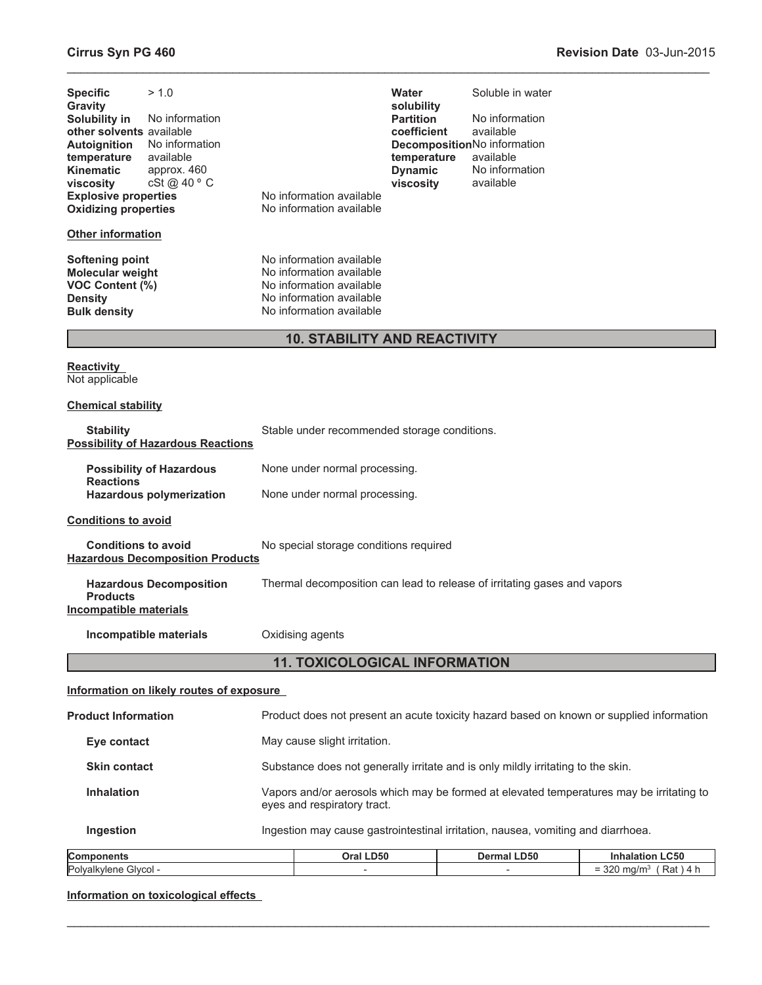| > 1.0<br><b>Specific</b><br><b>Gravity</b><br>Solubility in<br>No information<br>other solvents available<br>No information<br><b>Autoignition</b><br>available<br>temperature<br><b>Kinematic</b><br>approx. 460<br>cSt@40°C<br>viscosity<br><b>Explosive properties</b><br><b>Oxidizing properties</b> | No information available<br>No information available                                                                                     | Water<br>solubility<br><b>Partition</b><br>coefficient<br>temperature<br><b>Dynamic</b><br>viscosity | Soluble in water<br>No information<br>available<br>DecompositionNo information<br>available<br>No information<br>available |                                                                                          |
|----------------------------------------------------------------------------------------------------------------------------------------------------------------------------------------------------------------------------------------------------------------------------------------------------------|------------------------------------------------------------------------------------------------------------------------------------------|------------------------------------------------------------------------------------------------------|----------------------------------------------------------------------------------------------------------------------------|------------------------------------------------------------------------------------------|
| <b>Other information</b>                                                                                                                                                                                                                                                                                 |                                                                                                                                          |                                                                                                      |                                                                                                                            |                                                                                          |
| <b>Softening point</b><br>Molecular weight<br>VOC Content (%)<br><b>Density</b><br><b>Bulk density</b>                                                                                                                                                                                                   | No information available<br>No information available<br>No information available<br>No information available<br>No information available |                                                                                                      |                                                                                                                            |                                                                                          |
|                                                                                                                                                                                                                                                                                                          | <b>10. STABILITY AND REACTIVITY</b>                                                                                                      |                                                                                                      |                                                                                                                            |                                                                                          |
| <b>Reactivity</b><br>Not applicable                                                                                                                                                                                                                                                                      |                                                                                                                                          |                                                                                                      |                                                                                                                            |                                                                                          |
| <b>Chemical stability</b>                                                                                                                                                                                                                                                                                |                                                                                                                                          |                                                                                                      |                                                                                                                            |                                                                                          |
| <b>Stability</b><br><b>Possibility of Hazardous Reactions</b>                                                                                                                                                                                                                                            | Stable under recommended storage conditions.                                                                                             |                                                                                                      |                                                                                                                            |                                                                                          |
| <b>Possibility of Hazardous</b><br><b>Reactions</b>                                                                                                                                                                                                                                                      | None under normal processing.<br>None under normal processing.                                                                           |                                                                                                      |                                                                                                                            |                                                                                          |
| Hazardous polymerization                                                                                                                                                                                                                                                                                 |                                                                                                                                          |                                                                                                      |                                                                                                                            |                                                                                          |
| <b>Conditions to avoid</b>                                                                                                                                                                                                                                                                               |                                                                                                                                          |                                                                                                      |                                                                                                                            |                                                                                          |
| <b>Conditions to avoid</b><br><b>Hazardous Decomposition Products</b>                                                                                                                                                                                                                                    | No special storage conditions required                                                                                                   |                                                                                                      |                                                                                                                            |                                                                                          |
| <b>Hazardous Decomposition</b><br><b>Products</b><br><b>Incompatible materials</b>                                                                                                                                                                                                                       | Thermal decomposition can lead to release of irritating gases and vapors                                                                 |                                                                                                      |                                                                                                                            |                                                                                          |
| Incompatible materials                                                                                                                                                                                                                                                                                   | Oxidising agents                                                                                                                         |                                                                                                      |                                                                                                                            |                                                                                          |
|                                                                                                                                                                                                                                                                                                          | <b>11. TOXICOLOGICAL INFORMATION</b>                                                                                                     |                                                                                                      |                                                                                                                            |                                                                                          |
| Information on likely routes of exposure                                                                                                                                                                                                                                                                 |                                                                                                                                          |                                                                                                      |                                                                                                                            |                                                                                          |
| <b>Product Information</b>                                                                                                                                                                                                                                                                               |                                                                                                                                          |                                                                                                      |                                                                                                                            | Product does not present an acute toxicity hazard based on known or supplied information |
| Eye contact                                                                                                                                                                                                                                                                                              | May cause slight irritation.                                                                                                             |                                                                                                      |                                                                                                                            |                                                                                          |
| <b>Skin contact</b>                                                                                                                                                                                                                                                                                      | Substance does not generally irritate and is only mildly irritating to the skin.                                                         |                                                                                                      |                                                                                                                            |                                                                                          |
| <b>Inhalation</b>                                                                                                                                                                                                                                                                                        | Vapors and/or aerosols which may be formed at elevated temperatures may be irritating to<br>eyes and respiratory tract.                  |                                                                                                      |                                                                                                                            |                                                                                          |
| Ingestion                                                                                                                                                                                                                                                                                                | Ingestion may cause gastrointestinal irritation, nausea, vomiting and diarrhoea.                                                         |                                                                                                      |                                                                                                                            |                                                                                          |
| Components                                                                                                                                                                                                                                                                                               | Oral LD50                                                                                                                                |                                                                                                      | <b>Dermal LD50</b>                                                                                                         | <b>Inhalation LC50</b>                                                                   |

\_\_\_\_\_\_\_\_\_\_\_\_\_\_\_\_\_\_\_\_\_\_\_\_\_\_\_\_\_\_\_\_\_\_\_\_\_\_\_\_\_\_\_\_\_\_\_\_\_\_\_\_\_\_\_\_\_\_\_\_\_\_\_\_\_\_\_\_\_\_\_\_\_\_\_\_\_\_\_\_\_\_\_\_\_\_\_\_\_\_\_\_\_

| <b>Compon</b><br>------<br>onents | LD50<br>Oral | <b>LD50</b><br>Dermal | ∟C50<br>наю<br>                                         |
|-----------------------------------|--------------|-----------------------|---------------------------------------------------------|
| Polva<br>' filvcol -<br>vler.     |              |                       | 220<br>Rat<br>ma/m<br>ےں<br>and the control of the con- |
|                                   |              |                       |                                                         |

 $\_$  , and the contribution of the contribution of the contribution of the contribution of  $\mathcal{L}_\text{max}$ 

**Information on toxicological effects**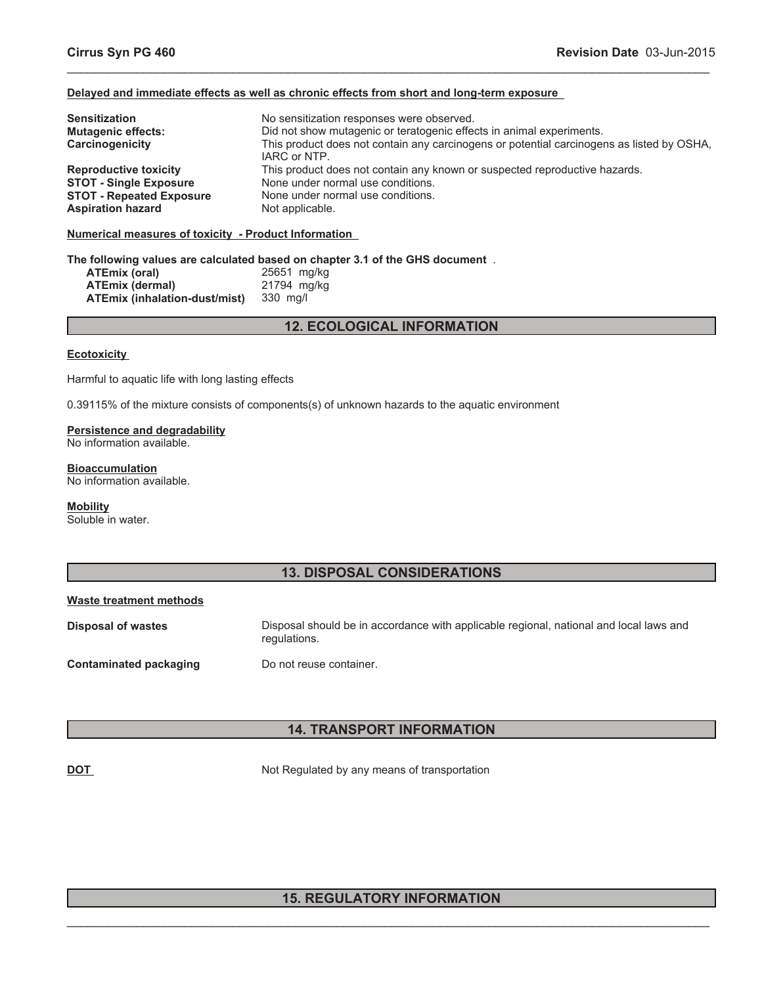# **Delayed and immediate effects as well as chronic effects from short and long-term exposure**

| <b>Sensitization</b>            | No sensitization responses were observed.                                                 |
|---------------------------------|-------------------------------------------------------------------------------------------|
| <b>Mutagenic effects:</b>       | Did not show mutagenic or teratogenic effects in animal experiments.                      |
| Carcinogenicity                 | This product does not contain any carcinogens or potential carcinogens as listed by OSHA, |
|                                 | IARC or NTP.                                                                              |
| <b>Reproductive toxicity</b>    | This product does not contain any known or suspected reproductive hazards.                |
| <b>STOT - Single Exposure</b>   | None under normal use conditions.                                                         |
| <b>STOT - Repeated Exposure</b> | None under normal use conditions.                                                         |
| <b>Aspiration hazard</b>        | Not applicable.                                                                           |

\_\_\_\_\_\_\_\_\_\_\_\_\_\_\_\_\_\_\_\_\_\_\_\_\_\_\_\_\_\_\_\_\_\_\_\_\_\_\_\_\_\_\_\_\_\_\_\_\_\_\_\_\_\_\_\_\_\_\_\_\_\_\_\_\_\_\_\_\_\_\_\_\_\_\_\_\_\_\_\_\_\_\_\_\_\_\_\_\_\_\_\_\_

#### **Numerical measures of toxicity - Product Information**

#### **The following values are calculated based on chapter 3.1 of the GHS document** .

| ATEmix (oral)                 | 25651 mg/kg |
|-------------------------------|-------------|
| <b>ATEmix (dermal)</b>        | 21794 mg/kg |
| ATEmix (inhalation-dust/mist) | 330 mg/l    |

# **12. ECOLOGICAL INFORMATION**

#### **Ecotoxicity**

Harmful to aquatic life with long lasting effects

0.39115% of the mixture consists of components(s) of unknown hazards to the aquatic environment

# **Persistence and degradability** No information available.

# **Bioaccumulation**

No information available.

# **Mobility**

Soluble in water.

# **13. DISPOSAL CONSIDERATIONS**

#### **Waste treatment methods**

**Disposal of wastes** Disposal should be in accordance with applicable regional, national and local laws and regulations.

# **Contaminated packaging Do not reuse container.**

# **14. TRANSPORT INFORMATION**

**DOT** Not Regulated by any means of transportation

# $\_$  , and the contribution of the contribution of the contribution of the contribution of  $\mathcal{L}_\text{max}$ **15. REGULATORY INFORMATION**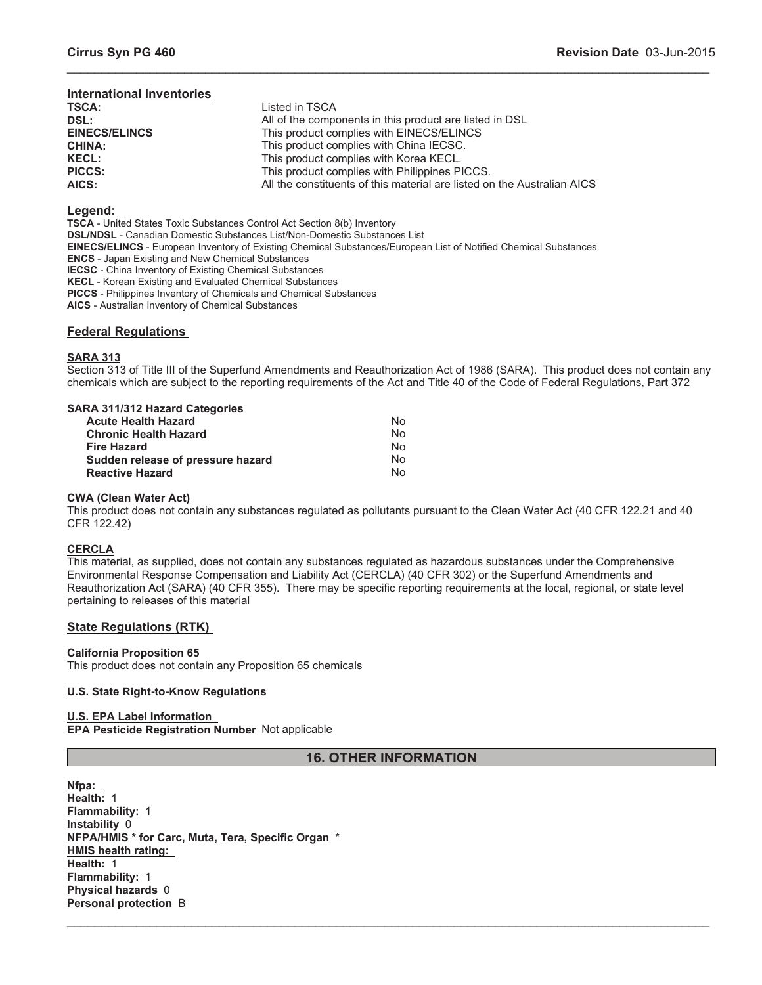# **International Inventories**

| <b>TSCA:</b>         | Listed in TSCA                                                          |
|----------------------|-------------------------------------------------------------------------|
| DSL:                 | All of the components in this product are listed in DSL                 |
| <b>EINECS/ELINCS</b> | This product complies with EINECS/ELINCS                                |
| <b>CHINA:</b>        | This product complies with China IECSC.                                 |
| <b>KECL:</b>         | This product complies with Korea KECL.                                  |
| <b>PICCS:</b>        | This product complies with Philippines PICCS.                           |
| AICS:                | All the constituents of this material are listed on the Australian AICS |
|                      |                                                                         |

# **Legend:**

**TSCA** - United States Toxic Substances Control Act Section 8(b) Inventory **DSL/NDSL** - Canadian Domestic Substances List/Non-Domestic Substances List **EINECS/ELINCS** - European Inventory of Existing Chemical Substances/European List of Notified Chemical Substances **ENCS** - Japan Existing and New Chemical Substances **IECSC** - China Inventory of Existing Chemical Substances **KECL** - Korean Existing and Evaluated Chemical Substances **PICCS** - Philippines Inventory of Chemicals and Chemical Substances **AICS** - Australian Inventory of Chemical Substances

# **Federal Regulations**

# **SARA 313**

Section 313 of Title III of the Superfund Amendments and Reauthorization Act of 1986 (SARA). This product does not contain any chemicals which are subject to the reporting requirements of the Act and Title 40 of the Code of Federal Regulations, Part 372

\_\_\_\_\_\_\_\_\_\_\_\_\_\_\_\_\_\_\_\_\_\_\_\_\_\_\_\_\_\_\_\_\_\_\_\_\_\_\_\_\_\_\_\_\_\_\_\_\_\_\_\_\_\_\_\_\_\_\_\_\_\_\_\_\_\_\_\_\_\_\_\_\_\_\_\_\_\_\_\_\_\_\_\_\_\_\_\_\_\_\_\_\_

# **SARA 311/312 Hazard Categories**

| <b>Acute Health Hazard</b>        | No |
|-----------------------------------|----|
| <b>Chronic Health Hazard</b>      | No |
| <b>Fire Hazard</b>                | No |
| Sudden release of pressure hazard | No |
| <b>Reactive Hazard</b>            | N٥ |

#### **CWA (Clean Water Act)**

This product does not contain any substances regulated as pollutants pursuant to the Clean Water Act (40 CFR 122.21 and 40 CFR 122.42)

#### **CERCLA**

This material, as supplied, does not contain any substances regulated as hazardous substances under the Comprehensive Environmental Response Compensation and Liability Act (CERCLA) (40 CFR 302) or the Superfund Amendments and Reauthorization Act (SARA) (40 CFR 355). There may be specific reporting requirements at the local, regional, or state level pertaining to releases of this material

# **State Regulations (RTK)**

# **California Proposition 65**

This product does not contain any Proposition 65 chemicals

# **U.S. State Right-to-Know Regulations**

# **U.S. EPA Label Information**

**EPA Pesticide Registration Number** Not applicable

# **16. OTHER INFORMATION**

 $\_$  , and the contribution of the contribution of the contribution of the contribution of  $\mathcal{L}_\text{max}$ 

**Nfpa: Health:** 1 **Flammability:** 1 **Instability** 0 **NFPA/HMIS \* for Carc, Muta, Tera, Specific Organ** \* **HMIS health rating: Health:** 1 **Flammability:** 1 **Physical hazards** 0 **Personal protection** B